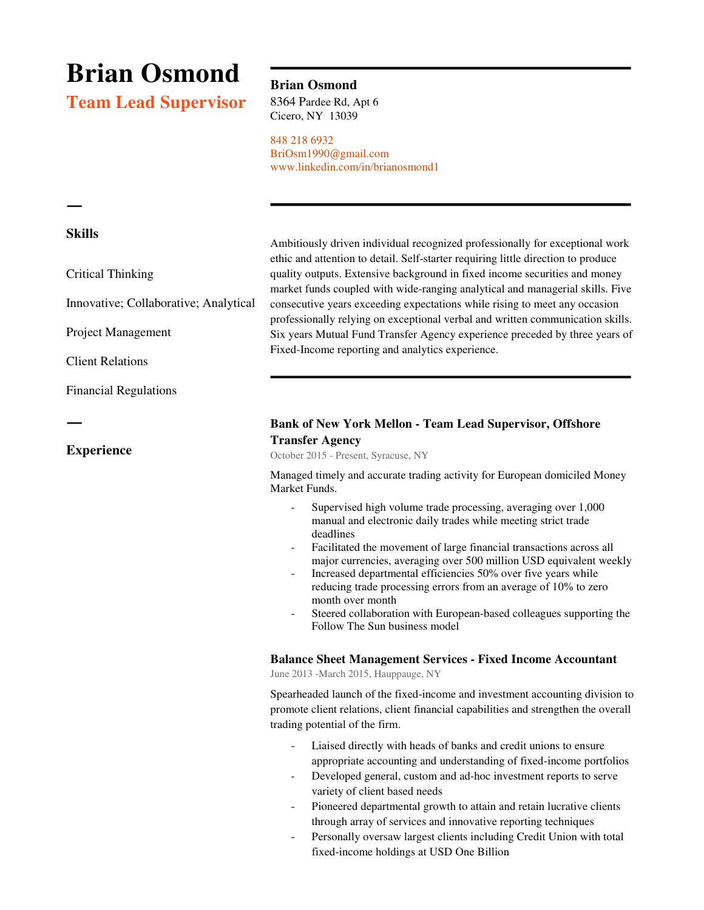# **Brian Osmond**

**Team Lead Supervisor** 

## **Brian Osmond**

8364 Pardee Rd, Apt 6 Cicero, NY 13039

848 218 6932 BriOsm1990@gmail.com www.linkedin.com/in/brianosmond1

### **Skills**

ㅡ

Critical Thinking

Innovative; Collaborative; Analytical

Project Management

Client Relations

Financial Regulations

## ㅡ

**Experience** 

Ambitiously driven individual recognized professionally for exceptional work ethic and attention to detail. Self-starter requiring little direction to produce quality outputs. Extensive background in fixed income securities and money market funds coupled with wide-ranging analytical and managerial skills. Five consecutive years exceeding expectations while rising to meet any occasion professionally relying on exceptional verbal and written communication skills. Six years Mutual Fund Transfer Agency experience preceded by three years of Fixed-Income reporting and analytics experience.

## **Bank of New York Mellon - Team Lead Supervisor, Offshore Transfer Agency**

October 2015 - Present, Syracuse, NY

Managed timely and accurate trading activity for European domiciled Money Market Funds.

- Supervised high volume trade processing, averaging over 1,000 manual and electronic daily trades while meeting strict trade deadlines
- Facilitated the movement of large financial transactions across all major currencies, averaging over 500 million USD equivalent weekly
- Increased departmental efficiencies 50% over five years while reducing trade processing errors from an average of 10% to zero month over month
- Steered collaboration with European-based colleagues supporting the Follow The Sun business model

#### **Balance Sheet Management Services - Fixed Income Accountant**

June 2013 -March 2015, Hauppauge, NY

Spearheaded launch of the fixed-income and investment accounting division to promote client relations, client financial capabilities and strengthen the overall trading potential of the firm.

- Liaised directly with heads of banks and credit unions to ensure appropriate accounting and understanding of fixed-income portfolios
- Developed general, custom and ad-hoc investment reports to serve variety of client based needs
- Pioneered departmental growth to attain and retain lucrative clients through array of services and innovative reporting techniques
- Personally oversaw largest clients including Credit Union with total fixed-income holdings at USD One Billion